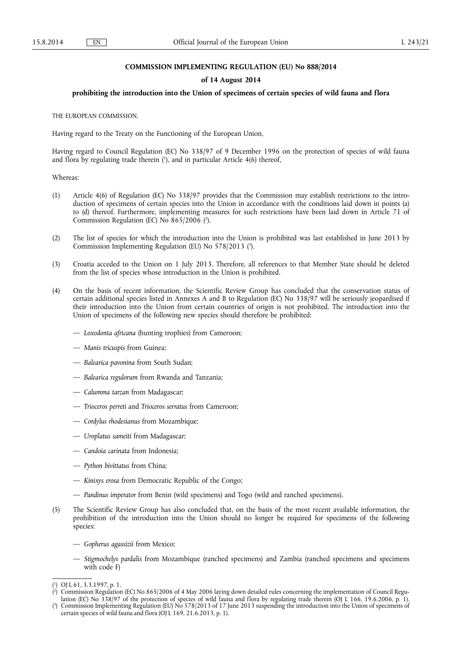### **COMMISSION IMPLEMENTING REGULATION (EU) No 888/2014**

## **of 14 August 2014**

## **prohibiting the introduction into the Union of specimens of certain species of wild fauna and flora**

THE EUROPEAN COMMISSION,

Having regard to the Treaty on the Functioning of the European Union,

Having regard to Council Regulation (EC) No 338/97 of 9 December 1996 on the protection of species of wild fauna and flora by regulating trade therein ( 1 ), and in particular Article 4(6) thereof,

#### Whereas:

- (1) Article 4(6) of Regulation (EC) No 338/97 provides that the Commission may establish restrictions to the introduction of specimens of certain species into the Union in accordance with the conditions laid down in points (a) to (d) thereof. Furthermore, implementing measures for such restrictions have been laid down in Article 71 of Commission Regulation (EC) No 865/2006 ( 2 ).
- (2) The list of species for which the introduction into the Union is prohibited was last established in June 2013 by Commission Implementing Regulation (EU) No 578/2013 ( 3 ).
- (3) Croatia acceded to the Union on 1 July 2013. Therefore, all references to that Member State should be deleted from the list of species whose introduction in the Union is prohibited.
- (4) On the basis of recent information, the Scientific Review Group has concluded that the conservation status of certain additional species listed in Annexes A and B to Regulation (EC) No 338/97 will be seriously jeopardised if their introduction into the Union from certain countries of origin is not prohibited. The introduction into the Union of specimens of the following new species should therefore be prohibited:
	- *Loxodonta africana* (hunting trophies) from Cameroon;
	- *Manis tricuspis* from Guinea;
	- *Balearica pavonina* from South Sudan;
	- *Balearica regulorum* from Rwanda and Tanzania;
	- *Calumma tarzan* from Madagascar;
	- *Trioceros perreti* and *Trioceros serratus* from Cameroon;
	- *Cordylus rhodesianus* from Mozambique;
	- *Uroplatus sameiti* from Madagascar;
	- *Candoia carinata* from Indonesia;
	- *Python bivittatus* from China;
	- *Kinixys erosa* from Democratic Republic of the Congo;
	- *Pandinus imperator* from Benin (wild specimens) and Togo (wild and ranched specimens).
- (5) The Scientific Review Group has also concluded that, on the basis of the most recent available information, the prohibition of the introduction into the Union should no longer be required for specimens of the following species:
	- *Gopherus agassizii* from Mexico;
	- *Stigmochelys pardalis* from Mozambique (ranched specimens) and Zambia (ranched specimens and specimens with code F)

<sup>(</sup> 1 ) OJ L 61, 3.3.1997, p. 1.

<sup>(</sup> 2 ) Commission Regulation (EC) No 865/2006 of 4 May 2006 laying down detailed rules concerning the implementation of Council Regulation (EC) No 338/97 of the protection of species of wild fauna and flora by regulating trade therein (OJ L 166, 19.6.2006, p. 1).

<sup>(</sup> 3 ) Commission Implementing Regulation (EU) No 578/2013 of 17 June 2013 suspending the introduction into the Union of specimens of certain species of wild fauna and flora (OJ L 169, 21.6.2013, p. 1).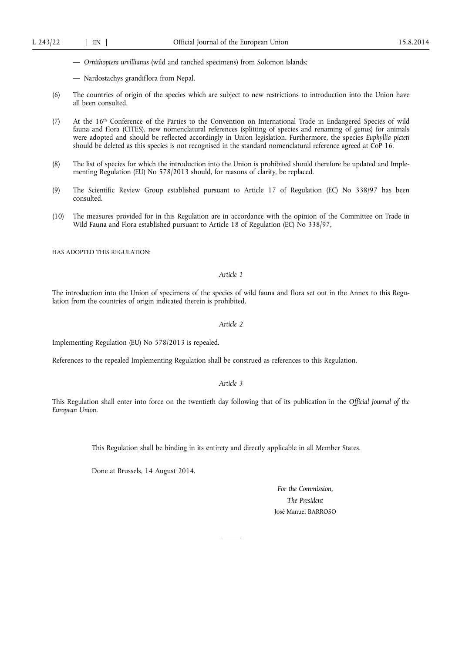— *Ornithoptera urvillianus* (wild and ranched specimens) from Solomon Islands;

- Nardostachys grandiflora from Nepal.
- (6) The countries of origin of the species which are subject to new restrictions to introduction into the Union have all been consulted.
- (7) At the 16th Conference of the Parties to the Convention on International Trade in Endangered Species of wild fauna and flora (CITES), new nomenclatural references (splitting of species and renaming of genus) for animals were adopted and should be reflected accordingly in Union legislation. Furthermore, the species *Euphyllia picteti*  should be deleted as this species is not recognised in the standard nomenclatural reference agreed at CoP 16.
- (8) The list of species for which the introduction into the Union is prohibited should therefore be updated and Implementing Regulation (EU) No 578/2013 should, for reasons of clarity, be replaced.
- (9) The Scientific Review Group established pursuant to Article 17 of Regulation (EC) No 338/97 has been consulted.
- (10) The measures provided for in this Regulation are in accordance with the opinion of the Committee on Trade in Wild Fauna and Flora established pursuant to Article 18 of Regulation (EC) No 338/97,

HAS ADOPTED THIS REGULATION:

## *Article 1*

The introduction into the Union of specimens of the species of wild fauna and flora set out in the Annex to this Regulation from the countries of origin indicated therein is prohibited.

#### *Article 2*

Implementing Regulation (EU) No 578/2013 is repealed.

References to the repealed Implementing Regulation shall be construed as references to this Regulation.

#### *Article 3*

This Regulation shall enter into force on the twentieth day following that of its publication in the *Official Journal of the European Union.* 

This Regulation shall be binding in its entirety and directly applicable in all Member States.

Done at Brussels, 14 August 2014.

*For the Commission, The President*  José Manuel BARROSO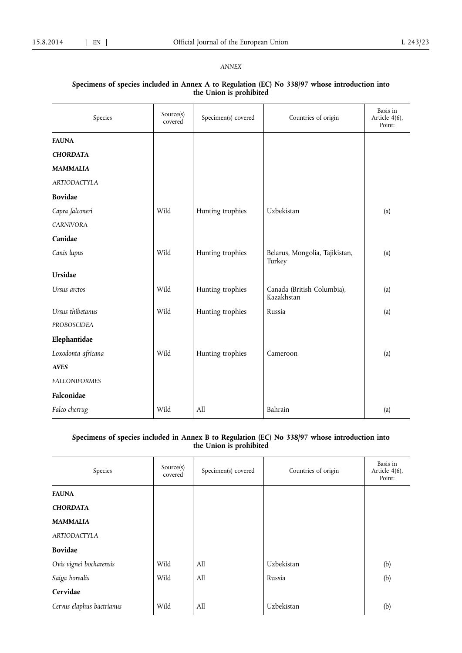## *ANNEX*

### **Specimens of species included in Annex A to Regulation (EC) No 338/97 whose introduction into the Union is prohibited**

| Species              | Source(s)<br>covered | Specimen(s) covered | Countries of origin                      | Basis in<br>Article 4(6),<br>Point: |
|----------------------|----------------------|---------------------|------------------------------------------|-------------------------------------|
| <b>FAUNA</b>         |                      |                     |                                          |                                     |
| <b>CHORDATA</b>      |                      |                     |                                          |                                     |
| <b>MAMMALIA</b>      |                      |                     |                                          |                                     |
| <b>ARTIODACTYLA</b>  |                      |                     |                                          |                                     |
| <b>Bovidae</b>       |                      |                     |                                          |                                     |
| Capra falconeri      | Wild                 | Hunting trophies    | Uzbekistan                               | (a)                                 |
| <b>CARNIVORA</b>     |                      |                     |                                          |                                     |
| Canidae              |                      |                     |                                          |                                     |
| Canis lupus          | Wild                 | Hunting trophies    | Belarus, Mongolia, Tajikistan,<br>Turkey | (a)                                 |
| Ursidae              |                      |                     |                                          |                                     |
| Ursus arctos         | Wild                 | Hunting trophies    | Canada (British Columbia),<br>Kazakhstan | (a)                                 |
| Ursus thibetanus     | Wild                 | Hunting trophies    | Russia                                   | (a)                                 |
| PROBOSCIDEA          |                      |                     |                                          |                                     |
| Elephantidae         |                      |                     |                                          |                                     |
| Loxodonta africana   | Wild                 | Hunting trophies    | Cameroon                                 | (a)                                 |
| <b>AVES</b>          |                      |                     |                                          |                                     |
| <b>FALCONIFORMES</b> |                      |                     |                                          |                                     |
| Falconidae           |                      |                     |                                          |                                     |
| Falco cherrug        | Wild                 | All                 | Bahrain                                  | (a)                                 |

# **Specimens of species included in Annex B to Regulation (EC) No 338/97 whose introduction into the Union is prohibited**

| Species                   | Source(s)<br>covered | Specimen(s) covered | Countries of origin | Basis in<br>Article 4(6),<br>Point: |
|---------------------------|----------------------|---------------------|---------------------|-------------------------------------|
| <b>FAUNA</b>              |                      |                     |                     |                                     |
| <b>CHORDATA</b>           |                      |                     |                     |                                     |
| <b>MAMMALIA</b>           |                      |                     |                     |                                     |
| <b>ARTIODACTYLA</b>       |                      |                     |                     |                                     |
| <b>Bovidae</b>            |                      |                     |                     |                                     |
| Ovis vignei bocharensis   | Wild                 | All                 | Uzbekistan          | (b)                                 |
| Saiga borealis            | Wild                 | All                 | Russia              | (b)                                 |
| Cervidae                  |                      |                     |                     |                                     |
| Cervus elaphus bactrianus | Wild                 | All                 | Uzbekistan          | (b)                                 |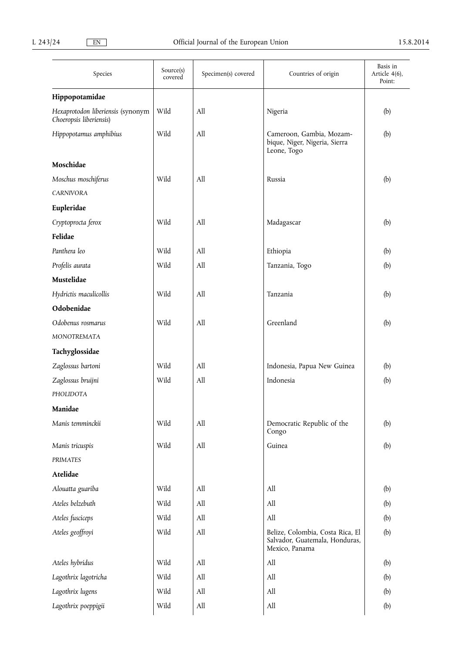| Species                                                      | Source(s)<br>covered | Specimen(s) covered         | Countries of origin                                                                  | Basis in<br>Article 4(6),<br>Point: |
|--------------------------------------------------------------|----------------------|-----------------------------|--------------------------------------------------------------------------------------|-------------------------------------|
| Hippopotamidae                                               |                      |                             |                                                                                      |                                     |
| Hexaprotodon liberiensis (synonym<br>Choeropsis liberiensis) | Wild                 | All                         | Nigeria                                                                              | (b)                                 |
| Hippopotamus amphibius                                       | Wild                 | All                         | Cameroon, Gambia, Mozam-<br>bique, Niger, Nigeria, Sierra<br>Leone, Togo             | (b)                                 |
| Moschidae                                                    |                      |                             |                                                                                      |                                     |
| Moschus moschiferus                                          | Wild                 | All                         | Russia                                                                               | (b)                                 |
| <b>CARNIVORA</b>                                             |                      |                             |                                                                                      |                                     |
| Eupleridae                                                   |                      |                             |                                                                                      |                                     |
| Cryptoprocta ferox                                           | Wild                 | All                         | Madagascar                                                                           | (b)                                 |
| Felidae                                                      |                      |                             |                                                                                      |                                     |
| Panthera leo                                                 | Wild                 | A11                         | Ethiopia                                                                             | (b)                                 |
| Profelis aurata                                              | Wild                 | All                         | Tanzania, Togo                                                                       | (b)                                 |
| Mustelidae                                                   |                      |                             |                                                                                      |                                     |
| Hydrictis maculicollis                                       | Wild                 | All                         | Tanzania                                                                             | (b)                                 |
| Odobenidae                                                   |                      |                             |                                                                                      |                                     |
| Odobenus rosmarus                                            | Wild                 | All                         | Greenland                                                                            | (b)                                 |
| MONOTREMATA                                                  |                      |                             |                                                                                      |                                     |
| Tachyglossidae                                               |                      |                             |                                                                                      |                                     |
| Zaglossus bartoni                                            | Wild                 | All                         | Indonesia, Papua New Guinea                                                          | (b)                                 |
| Zaglossus bruijni                                            | Wild                 | All                         | Indonesia                                                                            | (b)                                 |
| PHOLIDOTA                                                    |                      |                             |                                                                                      |                                     |
| Manidae                                                      |                      |                             |                                                                                      |                                     |
| Manis temminckii                                             | Wild                 | All                         | Democratic Republic of the<br>Congo                                                  | (b)                                 |
| Manis tricuspis                                              | Wild                 | All                         | Guinea                                                                               | (b)                                 |
| PRIMATES                                                     |                      |                             |                                                                                      |                                     |
| Atelidae                                                     |                      |                             |                                                                                      |                                     |
| Alouatta guariba                                             | Wild                 | All                         | All                                                                                  | (b)                                 |
| Ateles belzebuth                                             | Wild                 | $\mathop{\rm All}\nolimits$ | All                                                                                  | (b)                                 |
| Ateles fusciceps                                             | Wild                 | All                         | All                                                                                  | (b)                                 |
| Ateles geoffroyi                                             | Wild                 | $\mathop{\rm All}\nolimits$ | Belize, Colombia, Costa Rica, El<br>Salvador, Guatemala, Honduras,<br>Mexico, Panama | (b)                                 |
| Ateles hybridus                                              | Wild                 | All                         | All                                                                                  | (b)                                 |
| Lagothrix lagotricha                                         | Wild                 | All                         | All                                                                                  | (b)                                 |
| Lagothrix lugens                                             | Wild                 | All                         | All                                                                                  | (b)                                 |
| Lagothrix poeppigii                                          | Wild                 | All                         | All                                                                                  | (b)                                 |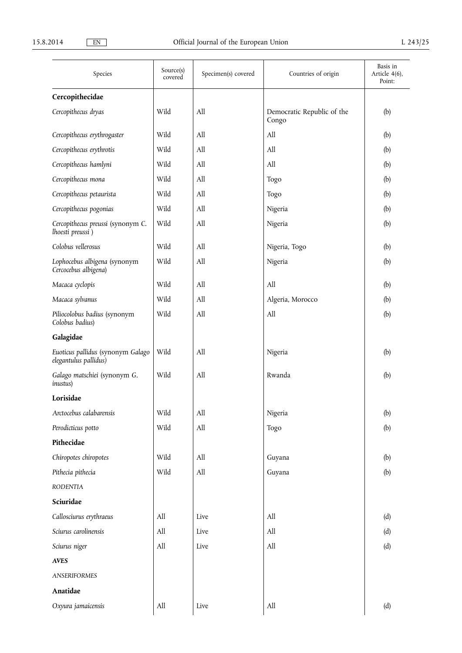| Species                                                    | Source(s)<br>covered | Specimen(s) covered | Countries of origin                 | Basis in<br>Article 4(6),<br>Point: |
|------------------------------------------------------------|----------------------|---------------------|-------------------------------------|-------------------------------------|
| Cercopithecidae                                            |                      |                     |                                     |                                     |
| Cercopithecus dryas                                        | Wild                 | All                 | Democratic Republic of the<br>Congo | (b)                                 |
| Cercopithecus erythrogaster                                | Wild                 | All                 | All                                 | (b)                                 |
| Cercopithecus erythrotis                                   | Wild                 | All                 | All                                 | (b)                                 |
| Cercopithecus hamlyni                                      | Wild                 | All                 | All                                 | (b)                                 |
| Cercopithecus mona                                         | Wild                 | All                 | Togo                                | (b)                                 |
| Cercopithecus petaurista                                   | Wild                 | All                 | Togo                                | (b)                                 |
| Cercopithecus pogonias                                     | Wild                 | All                 | Nigeria                             | (b)                                 |
| Cercopithecus preussi (synonym C.<br>lhoesti preussi)      | Wild                 | All                 | Nigeria                             | (b)                                 |
| Colobus vellerosus                                         | Wild                 | All                 | Nigeria, Togo                       | (b)                                 |
| Lophocebus albigena (synonym<br>Cercocebus albigena)       | Wild                 | All                 | Nigeria                             | (b)                                 |
| Macaca cyclopis                                            | Wild                 | All                 | All                                 | (b)                                 |
| Macaca sylvanus                                            | Wild                 | All                 | Algeria, Morocco                    | (b)                                 |
| Piliocolobus badius (synonym<br>Colobus badius)            | Wild                 | All                 | All                                 | (b)                                 |
| Galagidae                                                  |                      |                     |                                     |                                     |
| Euoticus pallidus (synonym Galago<br>elegantulus pallidus) | Wild                 | All                 | Nigeria                             | (b)                                 |
| Galago matschiei (synonym G.<br>inustus)                   | Wild                 | All                 | Rwanda                              | (b)                                 |
| Lorisidae                                                  |                      |                     |                                     |                                     |
| Arctocebus calabarensis                                    | Wild                 | All                 | Nigeria                             | (b)                                 |
| Perodicticus potto                                         | Wild                 | All                 | Togo                                | (b)                                 |
| Pithecidae                                                 |                      |                     |                                     |                                     |
| Chiropotes chiropotes                                      | Wild                 | All                 | Guyana                              | (b)                                 |
| Pithecia pithecia                                          | Wild                 | All                 | Guyana                              | (b)                                 |
| <b>RODENTIA</b>                                            |                      |                     |                                     |                                     |
| Sciuridae                                                  |                      |                     |                                     |                                     |
| Callosciurus erythraeus                                    | All                  | Live                | All                                 | (d)                                 |
| Sciurus carolinensis                                       | All                  | Live                | All                                 | (d)                                 |
| Sciurus niger                                              | All                  | Live                | All                                 | (d)                                 |
| <b>AVES</b>                                                |                      |                     |                                     |                                     |
| <b>ANSERIFORMES</b>                                        |                      |                     |                                     |                                     |
| Anatidae                                                   |                      |                     |                                     |                                     |
| Oxyura jamaicensis                                         | All                  | Live                | All                                 | (d)                                 |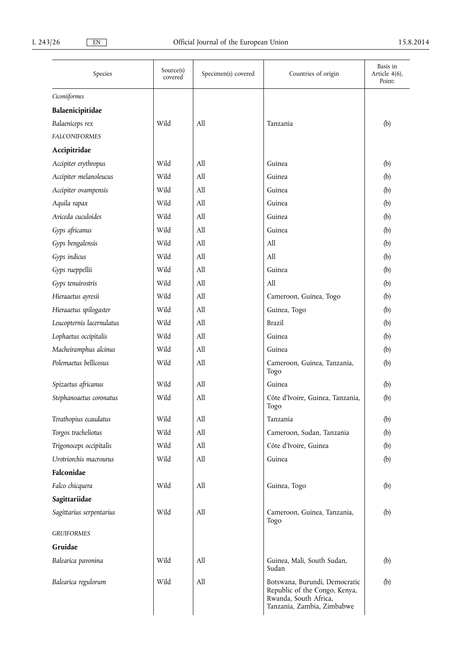| Species                   | Source(s)<br>covered | Specimen(s) covered | Countries of origin                                                                                                   | Basis in<br>Article 4(6),<br>Point: |
|---------------------------|----------------------|---------------------|-----------------------------------------------------------------------------------------------------------------------|-------------------------------------|
| Ciconiiformes             |                      |                     |                                                                                                                       |                                     |
| Balaenicipitidae          |                      |                     |                                                                                                                       |                                     |
| Balaeniceps rex           | Wild                 | All                 | Tanzania                                                                                                              | (b)                                 |
| <b>FALCONIFORMES</b>      |                      |                     |                                                                                                                       |                                     |
| Accipitridae              |                      |                     |                                                                                                                       |                                     |
| Accipiter erythropus      | Wild                 | All                 | Guinea                                                                                                                | (b)                                 |
| Accipiter melanoleucus    | Wild                 | All                 | Guinea                                                                                                                | (b)                                 |
| Accipiter ovampensis      | Wild                 | All                 | Guinea                                                                                                                | (b)                                 |
| Aquila rapax              | Wild                 | All                 | Guinea                                                                                                                | (b)                                 |
| Aviceda cuculoides        | Wild                 | All                 | Guinea                                                                                                                | (b)                                 |
| Gyps africanus            | Wild                 | All                 | Guinea                                                                                                                | (b)                                 |
| Gyps bengalensis          | Wild                 | All                 | All                                                                                                                   | (b)                                 |
| Gyps indicus              | Wild                 | All                 | All                                                                                                                   | (b)                                 |
| Gyps rueppellii           | Wild                 | All                 | Guinea                                                                                                                | (b)                                 |
| Gyps tenuirostris         | Wild                 | All                 | All                                                                                                                   | (b)                                 |
| Hieraaetus ayresii        | Wild                 | All                 | Cameroon, Guinea, Togo                                                                                                | (b)                                 |
| Hieraaetus spilogaster    | Wild                 | All                 | Guinea, Togo                                                                                                          | (b)                                 |
| Leucopternis lacernulatus | Wild                 | All                 | <b>Brazil</b>                                                                                                         | (b)                                 |
| Lophaetus occipitalis     | Wild                 | All                 | Guinea                                                                                                                | (b)                                 |
| Macheiramphus alcinus     | Wild                 | All                 | Guinea                                                                                                                | (b)                                 |
| Polemaetus bellicosus     | Wild                 | All                 | Cameroon, Guinea, Tanzania,<br>Togo                                                                                   | (b)                                 |
| Spizaetus africanus       | Wild                 | All                 | Guinea                                                                                                                | (b)                                 |
| Stephanoaetus coronatus   | Wild                 | All                 | Côte d'Ivoire, Guinea, Tanzania,<br>Togo                                                                              | (b)                                 |
| Terathopius ecaudatus     | Wild                 | All                 | Tanzania                                                                                                              | (b)                                 |
| Torgos tracheliotus       | Wild                 | All                 | Cameroon, Sudan, Tanzania                                                                                             | (b)                                 |
| Trigonoceps occipitalis   | Wild                 | All                 | Côte d'Ivoire, Guinea                                                                                                 | (b)                                 |
| Urotriorchis macrourus    | Wild                 | All                 | Guinea                                                                                                                | (b)                                 |
| Falconidae                |                      |                     |                                                                                                                       |                                     |
| Falco chicquera           | Wild                 | All                 | Guinea, Togo                                                                                                          | (b)                                 |
| Sagittariidae             |                      |                     |                                                                                                                       |                                     |
| Sagittarius serpentarius  | Wild                 | All                 | Cameroon, Guinea, Tanzania,<br>Togo                                                                                   | (b)                                 |
| <b>GRUIFORMES</b>         |                      |                     |                                                                                                                       |                                     |
| Gruidae                   |                      |                     |                                                                                                                       |                                     |
| Balearica pavonina        | Wild                 | All                 | Guinea, Mali, South Sudan,<br>Sudan                                                                                   | (b)                                 |
| Balearica regulorum       | Wild                 | All                 | Botswana, Burundi, Democratic<br>Republic of the Congo, Kenya,<br>Rwanda, South Africa,<br>Tanzania, Zambia, Zimbabwe | (b)                                 |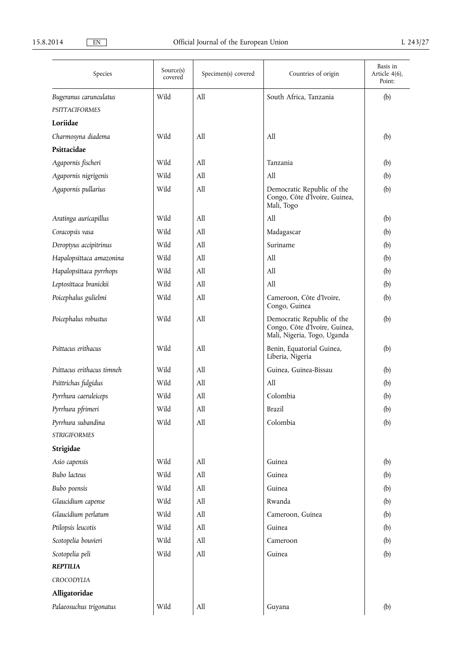| Species                    | Source(s)<br>covered | Specimen(s) covered | Countries of origin                                                                        | Basis in<br>Article 4(6),<br>Point: |
|----------------------------|----------------------|---------------------|--------------------------------------------------------------------------------------------|-------------------------------------|
| Bugeranus carunculatus     | Wild                 | All                 | South Africa, Tanzania                                                                     | (b)                                 |
| <b>PSITTACIFORMES</b>      |                      |                     |                                                                                            |                                     |
| Loriidae                   |                      |                     |                                                                                            |                                     |
| Charmosyna diadema         | Wild                 | All                 | All                                                                                        | (b)                                 |
| Psittacidae                |                      |                     |                                                                                            |                                     |
| Agapornis fischeri         | Wild                 | All                 | Tanzania                                                                                   | (b)                                 |
| Agapornis nigrigenis       | Wild                 | All                 | All                                                                                        | (b)                                 |
| Agapornis pullarius        | Wild                 | All                 | Democratic Republic of the<br>Congo, Côte d'Ivoire, Guinea,<br>Mali, Togo                  | (b)                                 |
| Aratinga auricapillus      | Wild                 | A11                 | All                                                                                        | (b)                                 |
| Coracopsis vasa            | Wild                 | All                 | Madagascar                                                                                 | (b)                                 |
| Deroptyus accipitrinus     | Wild                 | All                 | Suriname                                                                                   | (b)                                 |
| Hapalopsittaca amazonina   | Wild                 | All                 | All                                                                                        | (b)                                 |
| Hapalopsittaca pyrrhops    | Wild                 | All                 | All                                                                                        | (b)                                 |
| Leptosittaca branickii     | Wild                 | All                 | All                                                                                        | (b)                                 |
| Poicephalus gulielmi       | Wild                 | All                 | Cameroon, Côte d'Ivoire,<br>Congo, Guinea                                                  | (b)                                 |
| Poicephalus robustus       | Wild                 | All                 | Democratic Republic of the<br>Congo, Côte d'Ivoire, Guinea,<br>Mali, Nigeria, Togo, Uganda | (b)                                 |
| Psittacus erithacus        | Wild                 | All                 | Benin, Equatorial Guinea,<br>Liberia, Nigeria                                              | (b)                                 |
| Psittacus erithacus timneh | Wild                 | All                 | Guinea, Guinea-Bissau                                                                      | (b)                                 |
| Psittrichas fulgidus       | Wild                 | All                 | All                                                                                        | (b)                                 |
| Pyrrhura caeruleiceps      | Wild                 | All                 | Colombia                                                                                   | (b)                                 |
| Pyrrhura pfrimeri          | Wild                 | All                 | <b>Brazil</b>                                                                              | (b)                                 |
| Pyrrhura subandina         | Wild                 | All                 | Colombia                                                                                   | (b)                                 |
| <b>STRIGIFORMES</b>        |                      |                     |                                                                                            |                                     |
| Strigidae                  |                      |                     |                                                                                            |                                     |
| Asio capensis              | Wild                 | All                 | Guinea                                                                                     | (b)                                 |
| Bubo lacteus               | Wild                 | All                 | Guinea                                                                                     | (b)                                 |
| Bubo poensis               | Wild                 | All                 | Guinea                                                                                     | (b)                                 |
| Glaucidium capense         | Wild                 | All                 | Rwanda                                                                                     | (b)                                 |
| Glaucidium perlatum        | Wild                 | All                 | Cameroon, Guinea                                                                           | (b)                                 |
| Ptilopsis leucotis         | Wild                 | All                 | Guinea                                                                                     | (b)                                 |
| Scotopelia bouvieri        | Wild                 | All                 | Cameroon                                                                                   | (b)                                 |
| Scotopelia peli            | Wild                 | All                 | Guinea                                                                                     | (b)                                 |
| <b>REPTILIA</b>            |                      |                     |                                                                                            |                                     |
| CROCODYLIA                 |                      |                     |                                                                                            |                                     |
| Alligatoridae              |                      |                     |                                                                                            |                                     |
| Palaeosuchus trigonatus    | Wild                 | All                 | Guyana                                                                                     | (b)                                 |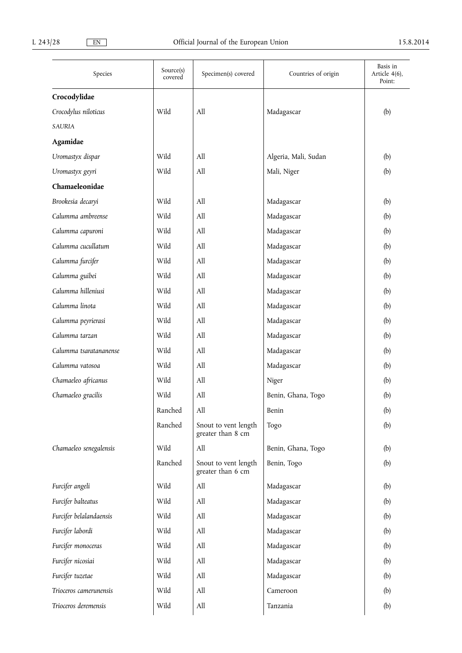| Species                 | Source(s)<br>covered | Specimen(s) covered                       | Countries of origin  | Basis in<br>Article 4(6),<br>Point: |
|-------------------------|----------------------|-------------------------------------------|----------------------|-------------------------------------|
| Crocodylidae            |                      |                                           |                      |                                     |
| Crocodylus niloticus    | Wild                 | All                                       | Madagascar           | (b)                                 |
| SAURIA                  |                      |                                           |                      |                                     |
| Agamidae                |                      |                                           |                      |                                     |
| Uromastyx dispar        | Wild                 | All                                       | Algeria, Mali, Sudan | (b)                                 |
| Uromastyx geyri         | Wild                 | All                                       | Mali, Niger          | (b)                                 |
| Chamaeleonidae          |                      |                                           |                      |                                     |
| Brookesia decaryi       | Wild                 | All                                       | Madagascar           | (b)                                 |
| Calumma ambreense       | Wild                 | All                                       | Madagascar           | (b)                                 |
| Calumma capuroni        | Wild                 | All                                       | Madagascar           | (b)                                 |
| Calumma cucullatum      | Wild                 | All                                       | Madagascar           | (b)                                 |
| Calumma furcifer        | Wild                 | All                                       | Madagascar           | (b)                                 |
| Calumma guibei          | Wild                 | All                                       | Madagascar           | (b)                                 |
| Calumma hilleniusi      | Wild                 | All                                       | Madagascar           | (b)                                 |
| Calumma linota          | Wild                 | All                                       | Madagascar           | (b)                                 |
| Calumma peyrierasi      | Wild                 | All                                       | Madagascar           | (b)                                 |
| Calumma tarzan          | Wild                 | All                                       | Madagascar           | (b)                                 |
| Calumma tsaratananense  | Wild                 | All                                       | Madagascar           | (b)                                 |
| Calumma vatosoa         | Wild                 | All                                       | Madagascar           | (b)                                 |
| Chamaeleo africanus     | Wild                 | All                                       | Niger                | (b)                                 |
| Chamaeleo gracilis      | Wild                 | All                                       | Benin, Ghana, Togo   | (b)                                 |
|                         | Ranched              | All                                       | Benin                | (b)                                 |
|                         | Ranched              | Snout to vent length<br>greater than 8 cm | Togo                 | (b)                                 |
| Chamaeleo senegalensis  | Wild                 | All                                       | Benin, Ghana, Togo   | (b)                                 |
|                         | Ranched              | Snout to vent length<br>greater than 6 cm | Benin, Togo          | (b)                                 |
| Furcifer angeli         | Wild                 | All                                       | Madagascar           | (b)                                 |
| Furcifer balteatus      | Wild                 | All                                       | Madagascar           | (b)                                 |
| Furcifer belalandaensis | Wild                 | All                                       | Madagascar           | (b)                                 |
| Furcifer labordi        | Wild                 | All                                       | Madagascar           | (b)                                 |
| Furcifer monoceras      | Wild                 | All                                       | Madagascar           | (b)                                 |
| Furcifer nicosiai       | Wild                 | All                                       | Madagascar           | (b)                                 |
| Furcifer tuzetae        | Wild                 | All                                       | Madagascar           | (b)                                 |
| Trioceros camerunensis  | Wild                 | All                                       | Cameroon             | (b)                                 |
| Trioceros deremensis    | Wild                 | $\mathop{\rm All}\nolimits$               | Tanzania             | (b)                                 |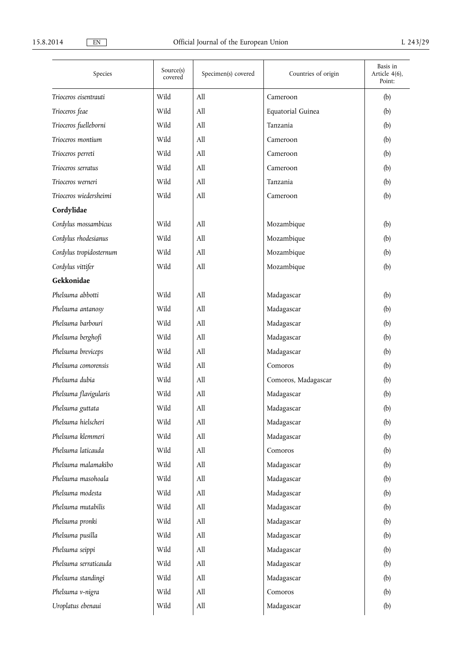| Species                 | Source(s)<br>covered | Specimen(s) covered | Countries of origin | Basis in<br>Article 4(6),<br>Point: |
|-------------------------|----------------------|---------------------|---------------------|-------------------------------------|
| Trioceros eisentrauti   | Wild                 | All                 | Cameroon            | (b)                                 |
| Trioceros feae          | Wild                 | All                 | Equatorial Guinea   | (b)                                 |
| Trioceros fuelleborni   | Wild                 | All                 | Tanzania            | (b)                                 |
| Trioceros montium       | Wild                 | All                 | Cameroon            | (b)                                 |
| Trioceros perreti       | Wild                 | All                 | Cameroon            | (b)                                 |
| Trioceros serratus      | Wild                 | All                 | Cameroon            | (b)                                 |
| Trioceros werneri       | Wild                 | All                 | Tanzania            | (b)                                 |
| Trioceros wiedersheimi  | Wild                 | All                 | Cameroon            | (b)                                 |
| Cordylidae              |                      |                     |                     |                                     |
| Cordylus mossambicus    | Wild                 | All                 | Mozambique          | (b)                                 |
| Cordylus rhodesianus    | Wild                 | All                 | Mozambique          | (b)                                 |
| Cordylus tropidosternum | Wild                 | All                 | Mozambique          | (b)                                 |
| Cordylus vittifer       | Wild                 | All                 | Mozambique          | (b)                                 |
| Gekkonidae              |                      |                     |                     |                                     |
| Phelsuma abbotti        | Wild                 | A11                 | Madagascar          | (b)                                 |
| Phelsuma antanosy       | Wild                 | All                 | Madagascar          | (b)                                 |
| Phelsuma barbouri       | Wild                 | All                 | Madagascar          | (b)                                 |
| Phelsuma berghofi       | Wild                 | All                 | Madagascar          | (b)                                 |
| Phelsuma breviceps      | Wild                 | All                 | Madagascar          | (b)                                 |
| Phelsuma comorensis     | Wild                 | All                 | Comoros             | (b)                                 |
| Phelsuma dubia          | Wild                 | All                 | Comoros, Madagascar | (b)                                 |
| Phelsuma flavigularis   | Wild                 | All                 | Madagascar          | (b)                                 |
| Phelsuma guttata        | Wild                 | All                 | Madagascar          | (b)                                 |
| Phelsuma hielscheri     | Wild                 | All                 | Madagascar          | (b)                                 |
| Phelsuma klemmeri       | Wild                 | All                 | Madagascar          | (b)                                 |
| Phelsuma laticauda      | Wild                 | All                 | Comoros             | (b)                                 |
| Phelsuma malamakibo     | Wild                 | All                 | Madagascar          | (b)                                 |
| Phelsuma masohoala      | Wild                 | All                 | Madagascar          | (b)                                 |
| Phelsuma modesta        | Wild                 | All                 | Madagascar          | (b)                                 |
| Phelsuma mutabilis      | Wild                 | All                 | Madagascar          | (b)                                 |
| Phelsuma pronki         | Wild                 | All                 | Madagascar          | (b)                                 |
| Phelsuma pusilla        | Wild                 | All                 | Madagascar          | (b)                                 |
| Phelsuma seippi         | Wild                 | All                 | Madagascar          | (b)                                 |
| Phelsuma serraticauda   | Wild                 | All                 | Madagascar          | (b)                                 |
| Phelsuma standingi      | Wild                 | All                 | Madagascar          | (b)                                 |
| Phelsuma v-nigra        | Wild                 | All                 | Comoros             | (b)                                 |
| Uroplatus ebenaui       | Wild                 | All                 | Madagascar          | (b)                                 |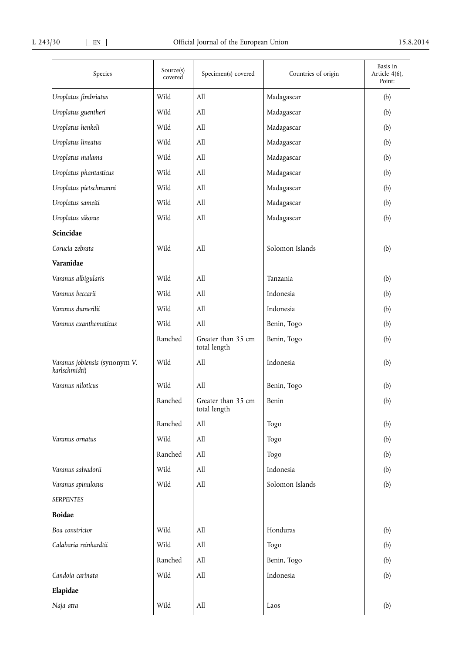| Species                                        | Source(s)<br>covered | Specimen(s) covered                | Countries of origin | Basis in<br>Article 4(6),<br>Point: |
|------------------------------------------------|----------------------|------------------------------------|---------------------|-------------------------------------|
| Uroplatus fimbriatus                           | Wild                 | All                                | Madagascar          | (b)                                 |
| Uroplatus guentheri                            | Wild                 | All                                | Madagascar          | (b)                                 |
| Uroplatus henkeli                              | Wild                 | All                                | Madagascar          | (b)                                 |
| Uroplatus lineatus                             | Wild                 | All                                | Madagascar          | (b)                                 |
| Uroplatus malama                               | Wild                 | All                                | Madagascar          | (b)                                 |
| Uroplatus phantasticus                         | Wild                 | All                                | Madagascar          | (b)                                 |
| Uroplatus pietschmanni                         | Wild                 | All                                | Madagascar          | (b)                                 |
| Uroplatus sameiti                              | Wild                 | All                                | Madagascar          | (b)                                 |
| Uroplatus sikorae                              | Wild                 | All                                | Madagascar          | (b)                                 |
| Scincidae                                      |                      |                                    |                     |                                     |
| Corucia zebrata                                | Wild                 | All                                | Solomon Islands     | (b)                                 |
| Varanidae                                      |                      |                                    |                     |                                     |
| Varanus albigularis                            | Wild                 | All                                | Tanzania            | (b)                                 |
| Varanus beccarii                               | Wild                 | All                                | Indonesia           | (b)                                 |
| Varanus dumerilii                              | Wild                 | All                                | Indonesia           | (b)                                 |
| Varanus exanthematicus                         | Wild                 | All                                | Benin, Togo         | (b)                                 |
|                                                | Ranched              | Greater than 35 cm<br>total length | Benin, Togo         | (b)                                 |
| Varanus jobiensis (synonym V.<br>karlschmidti) | Wild                 | All                                | Indonesia           | (b)                                 |
| Varanus niloticus                              | Wild                 | All                                | Benin, Togo         | (b)                                 |
|                                                | Ranched              | Greater than 35 cm<br>total length | Benin               | (b)                                 |
|                                                | Ranched              | All                                | Togo                | (b)                                 |
| Varanus ornatus                                | Wild                 | All                                | Togo                | (b)                                 |
|                                                | Ranched              | All                                | Togo                | (b)                                 |
| Varanus salvadorii                             | Wild                 | All                                | Indonesia           | (b)                                 |
| Varanus spinulosus                             | Wild                 | All                                | Solomon Islands     | (b)                                 |
| <b>SERPENTES</b>                               |                      |                                    |                     |                                     |
| <b>Boidae</b>                                  |                      |                                    |                     |                                     |
| Boa constrictor                                | Wild                 | All                                | Honduras            | (b)                                 |
| Calabaria reinhardtii                          | Wild                 | All                                | Togo                | (b)                                 |
|                                                | Ranched              | All                                | Benin, Togo         | (b)                                 |
| Candoia carinata                               | Wild                 | All                                | Indonesia           | (b)                                 |
| Elapidae                                       |                      |                                    |                     |                                     |
| Naja atra                                      | Wild                 | All                                | Laos                | (b)                                 |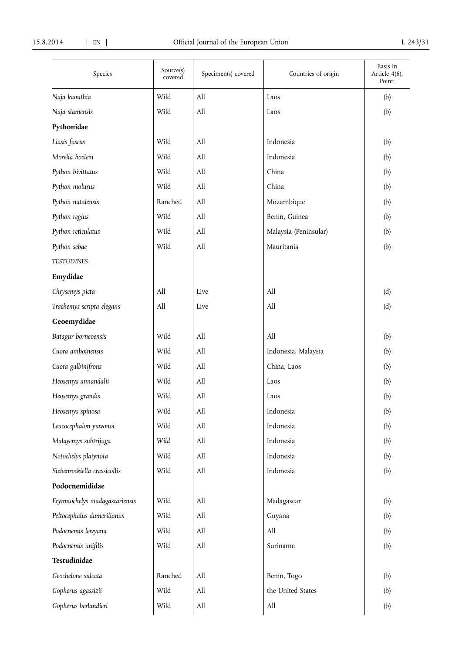| Species                       | Source(s)<br>covered | Specimen(s) covered         | Countries of origin   | Basis in<br>Article 4(6),<br>Point: |
|-------------------------------|----------------------|-----------------------------|-----------------------|-------------------------------------|
| Naja kaouthia                 | Wild                 | All                         | Laos                  | (b)                                 |
| Naja siamensis                | Wild                 | All                         | Laos                  | (b)                                 |
| Pythonidae                    |                      |                             |                       |                                     |
| Liasis fuscus                 | Wild                 | All                         | Indonesia             | (b)                                 |
| Morelia boeleni               | Wild                 | All                         | Indonesia             | (b)                                 |
| Python bivittatus             | Wild                 | All                         | China                 | (b)                                 |
| Python molurus                | Wild                 | All                         | China                 | (b)                                 |
| Python natalensis             | Ranched              | All                         | Mozambique            | (b)                                 |
| Python regius                 | Wild                 | All                         | Benin, Guinea         | (b)                                 |
| Python reticulatus            | Wild                 | All                         | Malaysia (Peninsular) | (b)                                 |
| Python sebae                  | Wild                 | All                         | Mauritania            | (b)                                 |
| <b>TESTUDINES</b>             |                      |                             |                       |                                     |
| Emydidae                      |                      |                             |                       |                                     |
| Chrysemys picta               | All                  | Live                        | All                   | (d)                                 |
| Trachemys scripta elegans     | All                  | Live                        | All                   | (d)                                 |
| Geoemydidae                   |                      |                             |                       |                                     |
| Batagur borneoensis           | Wild                 | All                         | All                   | (b)                                 |
| Cuora amboinensis             | Wild                 | All                         | Indonesia, Malaysia   | (b)                                 |
| Cuora galbinifrons            | Wild                 | All                         | China, Laos           | (b)                                 |
| Heosemys annandalii           | Wild                 | All                         | Laos                  | (b)                                 |
| Heosemys grandis              | Wild                 | All                         | Laos                  | (b)                                 |
| Heosemys spinosa              | Wild                 | All                         | Indonesia             | (b)                                 |
| Leucocephalon yuwonoi         | Wild                 | All                         | Indonesia             | (b)                                 |
| Malayemys subtrijuga          | Wild                 | All                         | Indonesia             | (b)                                 |
| Notochelys platynota          | Wild                 | All                         | Indonesia             | (b)                                 |
| Siebenrockiella crassicollis  | Wild                 | All                         | Indonesia             | (b)                                 |
| Podocnemididae                |                      |                             |                       |                                     |
| Erymnochelys madagascariensis | Wild                 | All                         | Madagascar            | (b)                                 |
| Peltocephalus dumerilianus    | Wild                 | All                         | Guyana                | (b)                                 |
| Podocnemis lewyana            | Wild                 | All                         | All                   | (b)                                 |
| Podocnemis unifilis           | Wild                 | All                         | Suriname              | (b)                                 |
| Testudinidae                  |                      |                             |                       |                                     |
| Geochelone sulcata            | Ranched              | All                         | Benin, Togo           | (b)                                 |
| Gopherus agassizii            | Wild                 | All                         | the United States     | (b)                                 |
| Gopherus berlandieri          | Wild                 | $\mathop{\rm All}\nolimits$ | All                   | (b)                                 |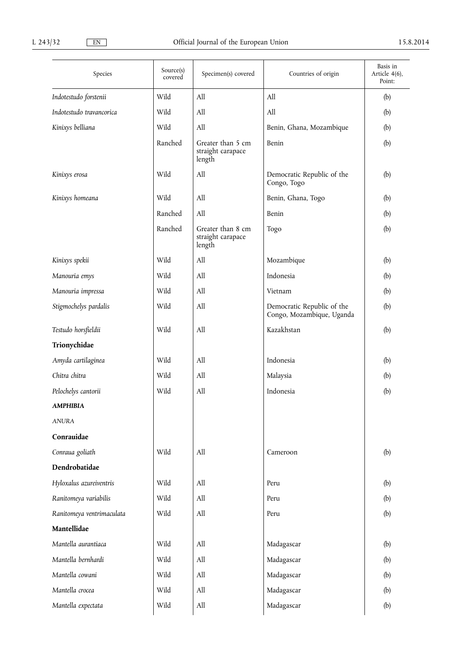| Species                   | Source(s)<br>covered | Specimen(s) covered                              | Countries of origin                                     | Basis in<br>Article 4(6),<br>Point: |
|---------------------------|----------------------|--------------------------------------------------|---------------------------------------------------------|-------------------------------------|
| Indotestudo forstenii     | Wild                 | All                                              | All                                                     | (b)                                 |
| Indotestudo travancorica  | Wild                 | All                                              | All                                                     | (b)                                 |
| Kinixys belliana          | Wild                 | All                                              | Benin, Ghana, Mozambique                                | (b)                                 |
|                           | Ranched              | Greater than 5 cm<br>straight carapace<br>length | Benin                                                   | (b)                                 |
| Kinixys erosa             | Wild                 | All                                              | Democratic Republic of the<br>Congo, Togo               | (b)                                 |
| Kinixys homeana           | Wild                 | All                                              | Benin, Ghana, Togo                                      | (b)                                 |
|                           | Ranched              | All                                              | Benin                                                   | (b)                                 |
|                           | Ranched              | Greater than 8 cm<br>straight carapace<br>length | Togo                                                    | (b)                                 |
| Kinixys spekii            | Wild                 | All                                              | Mozambique                                              | (b)                                 |
| Manouria emys             | Wild                 | All                                              | Indonesia                                               | (b)                                 |
| Manouria impressa         | Wild                 | All                                              | Vietnam                                                 | (b)                                 |
| Stigmochelys pardalis     | Wild                 | All                                              | Democratic Republic of the<br>Congo, Mozambique, Uganda | (b)                                 |
| Testudo horsfieldii       | Wild                 | All                                              | Kazakhstan                                              | (b)                                 |
| Trionychidae              |                      |                                                  |                                                         |                                     |
| Amyda cartilaginea        | Wild                 | All                                              | Indonesia                                               | (b)                                 |
| Chitra chitra             | Wild                 | All                                              | Malaysia                                                | (b)                                 |
| Pelochelys cantorii       | Wild                 | All                                              | Indonesia                                               | (b)                                 |
| <b>AMPHIBIA</b>           |                      |                                                  |                                                         |                                     |
| <b>ANURA</b>              |                      |                                                  |                                                         |                                     |
| Conrauidae                |                      |                                                  |                                                         |                                     |
| Conraua goliath           | Wild                 | All                                              | Cameroon                                                | (b)                                 |
| Dendrobatidae             |                      |                                                  |                                                         |                                     |
| Hyloxalus azureiventris   | Wild                 | All                                              | Peru                                                    | (b)                                 |
| Ranitomeya variabilis     | Wild                 | All                                              | Peru                                                    | (b)                                 |
| Ranitomeya ventrimaculata | Wild                 | All                                              | Peru                                                    | (b)                                 |
| Mantellidae               |                      |                                                  |                                                         |                                     |
| Mantella aurantiaca       | Wild                 | All                                              | Madagascar                                              | (b)                                 |
| Mantella bernhardi        | Wild                 | All                                              | Madagascar                                              | (b)                                 |
| Mantella cowani           | Wild                 | All                                              | Madagascar                                              | (b)                                 |
| Mantella crocea           | Wild                 | All                                              | Madagascar                                              | (b)                                 |
| Mantella expectata        | Wild                 | All                                              | Madagascar                                              | (b)                                 |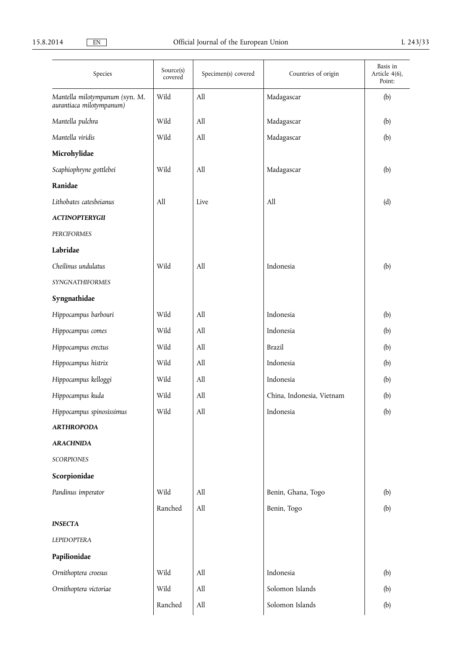| Species                                                    | Source(s)<br>covered | Specimen(s) covered         | Countries of origin       | Basis in<br>Article 4(6),<br>Point: |
|------------------------------------------------------------|----------------------|-----------------------------|---------------------------|-------------------------------------|
| Mantella milotympanum (syn. M.<br>aurantiaca milotympanum) | Wild                 | $\mathop{\rm All}\nolimits$ | Madagascar                | (b)                                 |
| Mantella pulchra                                           | Wild                 | All                         | Madagascar                | (b)                                 |
| Mantella viridis                                           | Wild                 | All                         | Madagascar                | (b)                                 |
| Microhylidae                                               |                      |                             |                           |                                     |
| Scaphiophryne gottlebei                                    | Wild                 | All                         | Madagascar                | (b)                                 |
| Ranidae                                                    |                      |                             |                           |                                     |
| Lithobates catesbeianus                                    | All                  | Live                        | All                       | (d)                                 |
| <b>ACTINOPTERYGII</b>                                      |                      |                             |                           |                                     |
| PERCIFORMES                                                |                      |                             |                           |                                     |
| Labridae                                                   |                      |                             |                           |                                     |
| Cheilinus undulatus                                        | Wild                 | All                         | Indonesia                 | (b)                                 |
| SYNGNATHIFORMES                                            |                      |                             |                           |                                     |
| Syngnathidae                                               |                      |                             |                           |                                     |
| Hippocampus barbouri                                       | Wild                 | All                         | Indonesia                 | (b)                                 |
| Hippocampus comes                                          | Wild                 | All                         | Indonesia                 | (b)                                 |
| Hippocampus erectus                                        | Wild                 | All                         | <b>Brazil</b>             | (b)                                 |
| Hippocampus histrix                                        | Wild                 | All                         | Indonesia                 | (b)                                 |
| Hippocampus kelloggi                                       | Wild                 | All                         | Indonesia                 | (b)                                 |
| Hippocampus kuda                                           | Wild                 | All                         | China, Indonesia, Vietnam | (b)                                 |
| Hippocampus spinosissimus                                  | Wild                 | All                         | Indonesia                 | (b)                                 |
| <b>ARTHROPODA</b>                                          |                      |                             |                           |                                     |
| <b>ARACHNIDA</b>                                           |                      |                             |                           |                                     |
| <b>SCORPIONES</b>                                          |                      |                             |                           |                                     |
| Scorpionidae                                               |                      |                             |                           |                                     |
| Pandinus imperator                                         | Wild                 | All                         | Benin, Ghana, Togo        | (b)                                 |
|                                                            | Ranched              | All                         | Benin, Togo               | (b)                                 |
| <b>INSECTA</b>                                             |                      |                             |                           |                                     |
| <b>LEPIDOPTERA</b>                                         |                      |                             |                           |                                     |
| Papilionidae                                               |                      |                             |                           |                                     |
| Ornithoptera croesus                                       | Wild                 | All                         | Indonesia                 | (b)                                 |
| Ornithoptera victoriae                                     | Wild                 | $\mathop{\rm All}\nolimits$ | Solomon Islands           | (b)                                 |
|                                                            | Ranched              | All                         | Solomon Islands           | (b)                                 |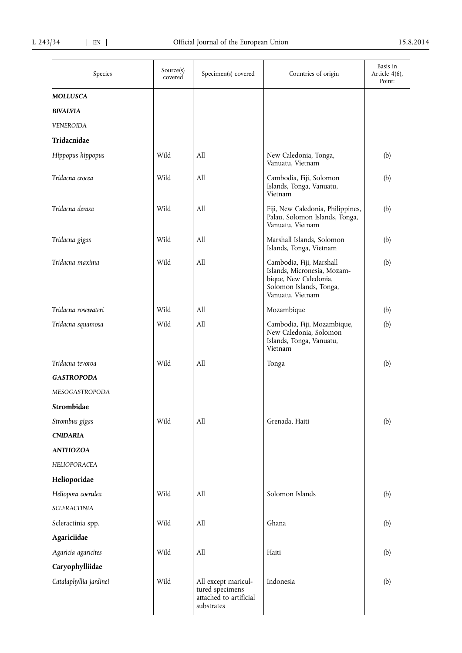| Species                | Source(s)<br>covered | Specimen(s) covered                                                            | Countries of origin                                                                                                             | Basis in<br>Article 4(6),<br>Point: |
|------------------------|----------------------|--------------------------------------------------------------------------------|---------------------------------------------------------------------------------------------------------------------------------|-------------------------------------|
| <b>MOLLUSCA</b>        |                      |                                                                                |                                                                                                                                 |                                     |
| <b>BIVALVIA</b>        |                      |                                                                                |                                                                                                                                 |                                     |
| <b>VENEROIDA</b>       |                      |                                                                                |                                                                                                                                 |                                     |
| Tridacnidae            |                      |                                                                                |                                                                                                                                 |                                     |
| Hippopus hippopus      | Wild                 | All                                                                            | New Caledonia, Tonga,<br>Vanuatu, Vietnam                                                                                       | (b)                                 |
| Tridacna crocea        | Wild                 | All                                                                            | Cambodia, Fiji, Solomon<br>Islands, Tonga, Vanuatu,<br>Vietnam                                                                  | (b)                                 |
| Tridacna derasa        | Wild                 | All                                                                            | Fiji, New Caledonia, Philippines,<br>Palau, Solomon Islands, Tonga,<br>Vanuatu, Vietnam                                         | (b)                                 |
| Tridacna gigas         | Wild                 | All                                                                            | Marshall Islands, Solomon<br>Islands, Tonga, Vietnam                                                                            | (b)                                 |
| Tridacna maxima        | Wild                 | All                                                                            | Cambodia, Fiji, Marshall<br>Islands, Micronesia, Mozam-<br>bique, New Caledonia,<br>Solomon Islands, Tonga,<br>Vanuatu, Vietnam | (b)                                 |
| Tridacna rosewateri    | Wild                 | All                                                                            | Mozambique                                                                                                                      | (b)                                 |
| Tridacna squamosa      | Wild                 | All                                                                            | Cambodia, Fiji, Mozambique,<br>New Caledonia, Solomon<br>Islands, Tonga, Vanuatu,<br>Vietnam                                    | (b)                                 |
| Tridacna tevoroa       | Wild                 | All                                                                            | Tonga                                                                                                                           | (b)                                 |
| <b>GASTROPODA</b>      |                      |                                                                                |                                                                                                                                 |                                     |
| MESOGASTROPODA         |                      |                                                                                |                                                                                                                                 |                                     |
| Strombidae             |                      |                                                                                |                                                                                                                                 |                                     |
| Strombus gigas         | Wild                 | All                                                                            | Grenada, Haiti                                                                                                                  | (b)                                 |
| <b>CNIDARIA</b>        |                      |                                                                                |                                                                                                                                 |                                     |
| <b>ANTHOZOA</b>        |                      |                                                                                |                                                                                                                                 |                                     |
| HELIOPORACEA           |                      |                                                                                |                                                                                                                                 |                                     |
| Helioporidae           |                      |                                                                                |                                                                                                                                 |                                     |
| Heliopora coerulea     | Wild                 | All                                                                            | Solomon Islands                                                                                                                 | (b)                                 |
| <b>SCLERACTINIA</b>    |                      |                                                                                |                                                                                                                                 |                                     |
| Scleractinia spp.      | Wild                 | All                                                                            | Ghana                                                                                                                           | (b)                                 |
| Agariciidae            |                      |                                                                                |                                                                                                                                 |                                     |
| Agaricia agaricites    | Wild                 | All                                                                            | Haiti                                                                                                                           | (b)                                 |
| Caryophylliidae        |                      |                                                                                |                                                                                                                                 |                                     |
| Catalaphyllia jardinei | Wild                 | All except maricul-<br>tured specimens<br>attached to artificial<br>substrates | Indonesia                                                                                                                       | (b)                                 |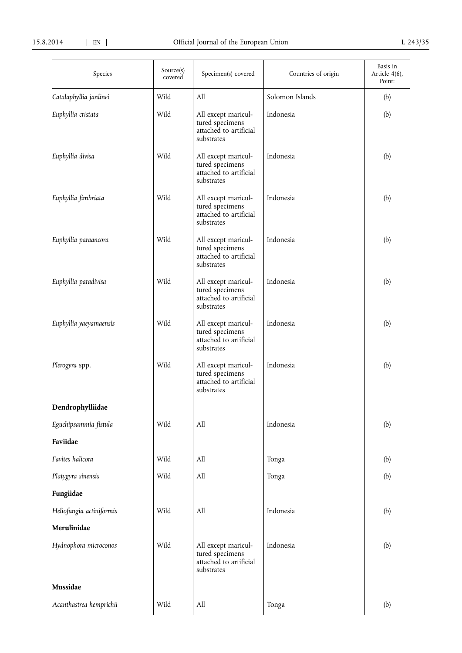| Species                  | Source(s)<br>covered | Specimen(s) covered                                                            | Countries of origin | Basis in<br>Article 4(6),<br>Point: |
|--------------------------|----------------------|--------------------------------------------------------------------------------|---------------------|-------------------------------------|
| Catalaphyllia jardinei   | Wild                 | All                                                                            | Solomon Islands     | (b)                                 |
| Euphyllia cristata       | Wild                 | All except maricul-<br>tured specimens<br>attached to artificial<br>substrates | Indonesia           | (b)                                 |
| Euphyllia divisa         | Wild                 | All except maricul-<br>tured specimens<br>attached to artificial<br>substrates | Indonesia           | (b)                                 |
| Euphyllia fimbriata      | Wild                 | All except maricul-<br>tured specimens<br>attached to artificial<br>substrates | Indonesia           | (b)                                 |
| Euphyllia paraancora     | Wild                 | All except maricul-<br>tured specimens<br>attached to artificial<br>substrates | Indonesia           | (b)                                 |
| Euphyllia paradivisa     | Wild                 | All except maricul-<br>tured specimens<br>attached to artificial<br>substrates | Indonesia           | (b)                                 |
| Euphyllia yaeyamaensis   | Wild                 | All except maricul-<br>tured specimens<br>attached to artificial<br>substrates | Indonesia           | (b)                                 |
| Plerogyra spp.           | Wild                 | All except maricul-<br>tured specimens<br>attached to artificial<br>substrates | Indonesia           | (b)                                 |
| Dendrophylliidae         |                      |                                                                                |                     |                                     |
| Eguchipsammia fistula    | Wild                 | All                                                                            | Indonesia           | (b)                                 |
| Faviidae                 |                      |                                                                                |                     |                                     |
| Favites halicora         | Wild                 | All                                                                            | Tonga               | (b)                                 |
| Platygyra sinensis       | Wild                 | All                                                                            | Tonga               | (b)                                 |
| Fungiidae                |                      |                                                                                |                     |                                     |
| Heliofungia actiniformis | Wild                 | All                                                                            | Indonesia           | (b)                                 |
| Merulinidae              |                      |                                                                                |                     |                                     |
| Hydnophora microconos    | Wild                 | All except maricul-<br>tured specimens<br>attached to artificial<br>substrates | Indonesia           | (b)                                 |
| Mussidae                 |                      |                                                                                |                     |                                     |
| Acanthastrea hemprichii  | Wild                 | All                                                                            | Tonga               | (b)                                 |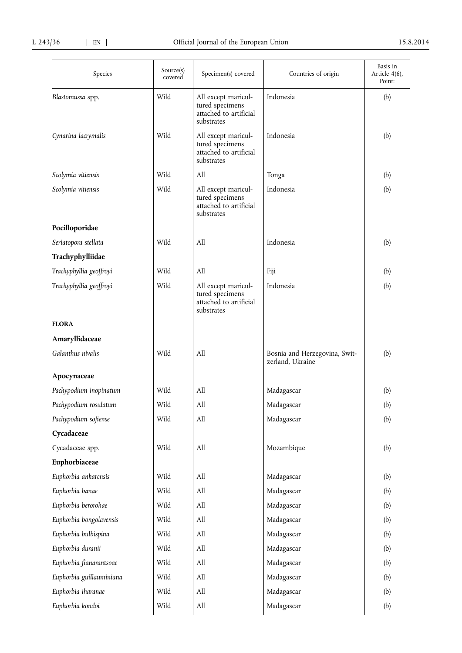| Species                  | Source(s)<br>covered | Specimen(s) covered                                                            | Countries of origin                               | Basis in<br>Article 4(6),<br>Point: |
|--------------------------|----------------------|--------------------------------------------------------------------------------|---------------------------------------------------|-------------------------------------|
| Blastomussa spp.         | Wild                 | All except maricul-<br>tured specimens<br>attached to artificial<br>substrates | Indonesia                                         | (b)                                 |
| Cynarina lacrymalis      | Wild                 | All except maricul-<br>tured specimens<br>attached to artificial<br>substrates | Indonesia                                         | (b)                                 |
| Scolymia vitiensis       | Wild                 | All                                                                            | Tonga                                             | (b)                                 |
| Scolymia vitiensis       | Wild                 | All except maricul-<br>tured specimens<br>attached to artificial<br>substrates | Indonesia                                         | (b)                                 |
| Pocilloporidae           |                      |                                                                                |                                                   |                                     |
| Seriatopora stellata     | Wild                 | All                                                                            | Indonesia                                         | (b)                                 |
| Trachyphylliidae         |                      |                                                                                |                                                   |                                     |
| Trachyphyllia geoffroyi  | Wild                 | All                                                                            | Fiji                                              | (b)                                 |
| Trachyphyllia geoffroyi  | Wild                 | All except maricul-<br>tured specimens<br>attached to artificial<br>substrates | Indonesia                                         | (b)                                 |
| <b>FLORA</b>             |                      |                                                                                |                                                   |                                     |
| Amaryllidaceae           |                      |                                                                                |                                                   |                                     |
| Galanthus nivalis        | Wild                 | All                                                                            | Bosnia and Herzegovina, Swit-<br>zerland, Ukraine | (b)                                 |
| Apocynaceae              |                      |                                                                                |                                                   |                                     |
| Pachypodium inopinatum   | Wild                 | All                                                                            | Madagascar                                        | (b)                                 |
| Pachypodium rosulatum    | Wild                 | All                                                                            | Madagascar                                        | (b)                                 |
| Pachypodium sofiense     | Wild                 | All                                                                            | Madagascar                                        | (b)                                 |
| Cycadaceae               |                      |                                                                                |                                                   |                                     |
| Cycadaceae spp.          | Wild                 | All                                                                            | Mozambique                                        | (b)                                 |
| Euphorbiaceae            |                      |                                                                                |                                                   |                                     |
| Euphorbia ankarensis     | Wild                 | $\mathop{\mathrm{All}}\nolimits$                                               | Madagascar                                        | (b)                                 |
| Euphorbia banae          | Wild                 | All                                                                            | Madagascar                                        | (b)                                 |
| Euphorbia berorohae      | Wild                 | All                                                                            | Madagascar                                        | (b)                                 |
| Euphorbia bongolavensis  | Wild                 | $\mathop{\mathrm{All}}\nolimits$                                               | Madagascar                                        | (b)                                 |
| Euphorbia bulbispina     | Wild                 | All                                                                            | Madagascar                                        | (b)                                 |
| Euphorbia duranii        | Wild                 | All                                                                            | Madagascar                                        | (b)                                 |
| Euphorbia fianarantsoae  | Wild                 | All                                                                            | Madagascar                                        | (b)                                 |
| Euphorbia guillauminiana | Wild                 | All                                                                            | Madagascar                                        | (b)                                 |
| Euphorbia iharanae       | Wild                 | All                                                                            | Madagascar                                        | (b)                                 |
| Euphorbia kondoi         | Wild                 | All                                                                            | Madagascar                                        | (b)                                 |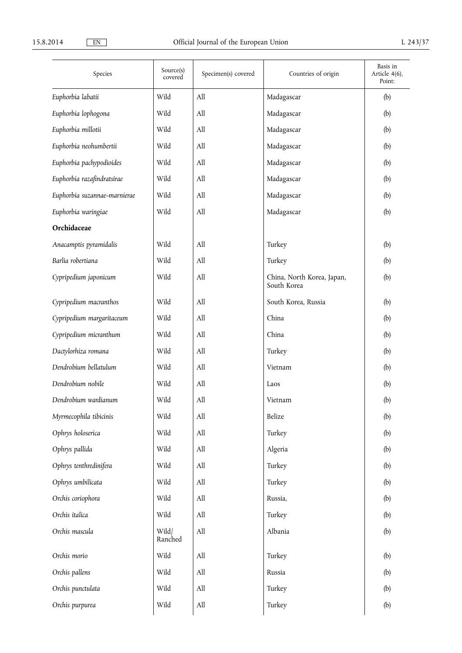| Species                      | Source(s)<br>covered | Specimen(s) covered              | Countries of origin                       | Basis in<br>Article 4(6),<br>Point: |
|------------------------------|----------------------|----------------------------------|-------------------------------------------|-------------------------------------|
| Euphorbia labatii            | Wild                 | All                              | Madagascar                                | (b)                                 |
| Euphorbia lophogona          | Wild                 | All                              | Madagascar                                | (b)                                 |
| Euphorbia millotii           | Wild                 | All                              | Madagascar                                | (b)                                 |
| Euphorbia neohumbertii       | Wild                 | All                              | Madagascar                                | (b)                                 |
| Euphorbia pachypodioides     | Wild                 | All                              | Madagascar                                | (b)                                 |
| Euphorbia razafindratsirae   | Wild                 | All                              | Madagascar                                | (b)                                 |
| Euphorbia suzannae-marnierae | Wild                 | All                              | Madagascar                                | (b)                                 |
| Euphorbia waringiae          | Wild                 | All                              | Madagascar                                | (b)                                 |
| Orchidaceae                  |                      |                                  |                                           |                                     |
| Anacamptis pyramidalis       | Wild                 | All                              | Turkey                                    | (b)                                 |
| Barlia robertiana            | Wild                 | All                              | Turkey                                    | (b)                                 |
| Cypripedium japonicum        | Wild                 | All                              | China, North Korea, Japan,<br>South Korea | (b)                                 |
| Cypripedium macranthos       | Wild                 | All                              | South Korea, Russia                       | (b)                                 |
| Cypripedium margaritaceum    | Wild                 | All                              | China                                     | (b)                                 |
| Cypripedium micranthum       | Wild                 | All                              | China                                     | (b)                                 |
| Dactylorhiza romana          | Wild                 | All                              | Turkey                                    | (b)                                 |
| Dendrobium bellatulum        | Wild                 | All                              | Vietnam                                   | (b)                                 |
| Dendrobium nobile            | Wild                 | All                              | Laos                                      | (b)                                 |
| Dendrobium wardianum         | Wild                 | All                              | Vietnam                                   | (b)                                 |
| Myrmecophila tibicinis       | Wild                 | All                              | Belize                                    | (b)                                 |
| Ophrys holoserica            | Wild                 | $\mathop{\rm All}\nolimits$      | Turkey                                    | (b)                                 |
| Ophrys pallida               | Wild                 | $\mathop{\rm All}\nolimits$      | Algeria                                   | (b)                                 |
| Ophrys tenthredinifera       | Wild                 | $\mathop{\rm All}\nolimits$      | Turkey                                    | (b)                                 |
| Ophrys umbilicata            | Wild                 | $\mathop{\rm All}\nolimits$      | Turkey                                    | (b)                                 |
| Orchis coriophora            | Wild                 | $\mathop{\mathrm{All}}\nolimits$ | Russia,                                   | (b)                                 |
| Orchis italica               | Wild                 | $\mathop{\rm All}\nolimits$      | Turkey                                    | (b)                                 |
| Orchis mascula               | Wild/<br>Ranched     | All                              | Albania                                   | (b)                                 |
| Orchis morio                 | Wild                 | All                              | Turkey                                    | (b)                                 |
| Orchis pallens               | Wild                 | $\mathop{\mathrm{All}}\nolimits$ | Russia                                    | (b)                                 |
| Orchis punctulata            | Wild                 | $\mathop{\rm All}\nolimits$      | Turkey                                    | (b)                                 |
| Orchis purpurea              | Wild                 | $\mathop{\mathrm{All}}\nolimits$ | Turkey                                    | (b)                                 |